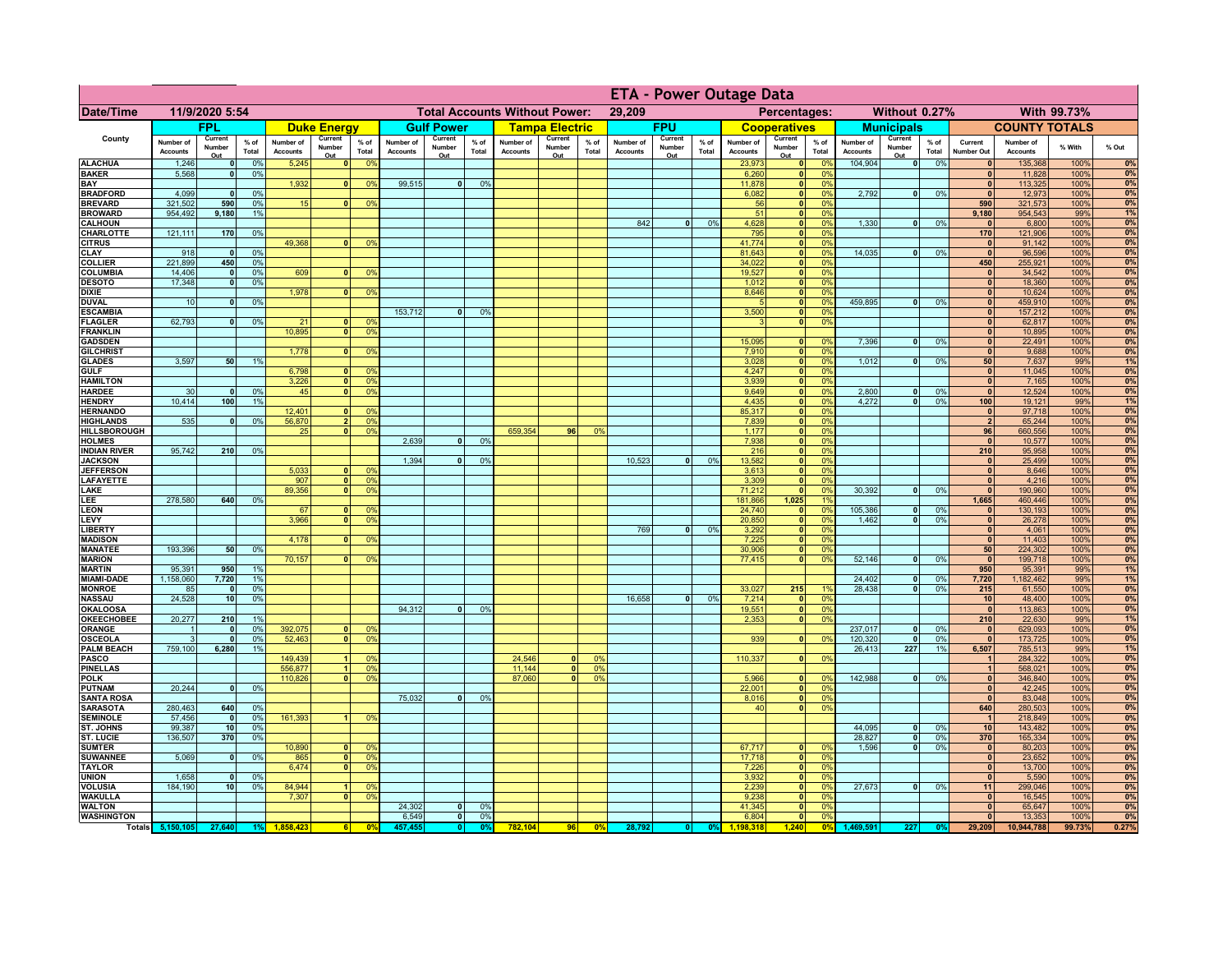|                                      |                              |                                 |                 |                              |                                      |                                  | <b>ETA - Power Outage Data</b> |                          |                 |                              |                          |                |                              |                              |               |                              |                               |                      |                              |                          |                 |                              |                              |              |          |
|--------------------------------------|------------------------------|---------------------------------|-----------------|------------------------------|--------------------------------------|----------------------------------|--------------------------------|--------------------------|-----------------|------------------------------|--------------------------|----------------|------------------------------|------------------------------|---------------|------------------------------|-------------------------------|----------------------|------------------------------|--------------------------|-----------------|------------------------------|------------------------------|--------------|----------|
| Date/Time                            | 11/9/2020 5:54               |                                 |                 |                              | <b>Total Accounts Without Power:</b> |                                  |                                |                          |                 | 29,209<br>Percentages:       |                          |                |                              | Without 0.27%<br>With 99.73% |               |                              |                               |                      |                              |                          |                 |                              |                              |              |          |
|                                      |                              | FPL                             |                 |                              | <b>Duke Energy</b>                   |                                  |                                | <b>Gulf Power</b>        |                 |                              | <b>Tampa Electric</b>    |                |                              | <b>FPU</b>                   |               |                              | <b>Cooperatives</b>           |                      |                              | <b>Municipals</b>        |                 |                              | <b>COUNTY TOTALS</b>         |              |          |
| County                               | Number of<br><b>Accounts</b> | Current<br>Number<br>Out        | $%$ of<br>Total | Number of<br><b>Accounts</b> | Current<br>Number<br>Out             | $%$ of<br>Total                  | Number of<br><b>Accounts</b>   | Current<br>Number<br>Out | $%$ of<br>Total | Number of<br><b>Accounts</b> | Current<br>Number<br>Out | % of<br>Total  | Number of<br><b>Accounts</b> | Current<br>Number<br>Out     | % of<br>Total | Number of<br><b>Accounts</b> | Current<br>Number<br>Out      | $%$ of<br>Total      | Number of<br><b>Accounts</b> | Current<br>Number<br>Out | $%$ of<br>Total | Current<br>Number Out        | Number of<br><b>Accounts</b> | % With       | % Out    |
| <b>ALACHUA</b>                       | 1,246                        | $\mathbf{0}$                    | 0%              | 5,245                        | 0                                    | 0 <sup>9</sup>                   |                                |                          |                 |                              |                          |                |                              |                              |               | 23,973                       | 0                             | 0%                   | 104,904                      | $\overline{\bullet}$     | 0%              | 0                            | 135,368                      | 100%         | 0%<br>0% |
| <b>BAKER</b><br>BAY                  | 5,568                        | 0                               | 0%              | 1,932                        | $\mathbf{0}$                         | 0 <sup>9</sup>                   | 99,515                         | $\overline{0}$           | 0%              |                              |                          |                |                              |                              |               | 6,260<br>11,878              | 0 <br> 0                      | 0 <sup>9</sup><br>0% |                              |                          |                 | $\mathbf{0}$<br>$\mathbf{0}$ | 11,828<br>113,325            | 100%<br>100% | 0%       |
| <b>BRADFORD</b>                      | 4,099                        | $\mathbf{0}$                    | 0%              |                              |                                      |                                  |                                |                          |                 |                              |                          |                |                              |                              |               | 6,082                        | $\mathbf{0}$                  | 0%                   | 2,792                        | 0                        | 0%              | $\Omega$                     | 12,973                       | 100%         | 0%       |
| <b>BREVARD</b><br><b>BROWARD</b>     | 321,502<br>954,492           | 590<br>9,180                    | 0%<br>1%        | 15                           | 0                                    | 0%                               |                                |                          |                 |                              |                          |                |                              |                              |               | 56                           | 0 <br> 0                      | 0%<br>0%             |                              |                          |                 | 590<br>9,180                 | 321,573                      | 100%<br>99%  | 0%<br>1% |
| <b>CALHOUN</b>                       |                              |                                 |                 |                              |                                      |                                  |                                |                          |                 |                              |                          |                | 842                          | $\mathbf{0}$                 | 0%            | 51<br>4,628                  | 0                             | 0%                   | 1,330                        | -ol                      | 0%              | $\mathbf{0}$                 | 954,543<br>6,800             | 100%         | 0%       |
| CHARLOTTE                            | 121,111                      | 170                             | 0%              |                              |                                      |                                  |                                |                          |                 |                              |                          |                |                              |                              |               | 795                          | 0                             | 0%                   |                              |                          |                 | 170                          | 121,906                      | 100%         | 0%       |
| <b>CITRUS</b><br><b>CLAY</b>         | 918                          | $\mathbf{0}$                    | 0%              | 49,368                       | $\mathbf{0}$                         | 0 <sup>9</sup>                   |                                |                          |                 |                              |                          |                |                              |                              |               | 41,774<br>81,643             | 0 <br>$\mathbf{0}$            | 0%<br>0%             | 14,035                       | -ol                      | 0%              | $\mathbf{0}$<br>$\mathbf{0}$ | 91,142<br>96,596             | 100%<br>100% | 0%<br>0% |
| <b>COLLIER</b>                       | 221,899                      | 450                             | 0%              |                              |                                      |                                  |                                |                          |                 |                              |                          |                |                              |                              |               | 34,022                       | $\mathbf{0}$                  | 0%                   |                              |                          |                 | 450                          | 255,921                      | 100%         | 0%       |
| <b>COLUMBIA</b>                      | 14,406                       | $\mathbf{0}$                    | 0%              | 609                          |                                      | 0 <sup>9</sup>                   |                                |                          |                 |                              |                          |                |                              |                              |               | 19,527                       | $\mathbf{0}$                  | 0%                   |                              |                          |                 | $\mathbf{0}$                 | 34,542                       | 100%         | 0%       |
| <b>DESOTO</b><br><b>DIXIE</b>        | 17,348                       | $\mathbf{0}$                    | 0%              | 1,978                        | $\mathbf{0}$                         | 0 <sup>9</sup>                   |                                |                          |                 |                              |                          |                |                              |                              |               | 1,012<br>8,646               | $\pmb{0}$<br>$\mathbf{0}$     | 0%<br>0%             |                              |                          |                 | $\mathbf{0}$<br>$\mathbf{0}$ | 18,360<br>10,624             | 100%<br>100% | 0%<br>0% |
| <b>DUVAL</b>                         | 10                           | $\mathbf{0}$                    | 0%              |                              |                                      |                                  |                                |                          |                 |                              |                          |                |                              |                              |               |                              | $\mathbf{0}$                  | 0%                   | 459,895                      | 0                        | 0%              | $\mathbf{0}$                 | 459,910                      | 100%         | 0%       |
| <b>ESCAMBIA</b>                      |                              |                                 |                 |                              |                                      |                                  | 153,712                        | $\mathbf{0}$             | 0 <sup>9</sup>  |                              |                          |                |                              |                              |               | 3,500                        | 0                             | 0%                   |                              |                          |                 | $\mathbf{0}$                 | 157,212                      | 100%         | 0%       |
| <b>FLAGLER</b><br><b>FRANKLIN</b>    | 62,793                       | $\mathbf{0}$                    | 0%              | 21<br>10,895                 | $\mathbf{0}$<br>$\Omega$             | 0 <sup>9</sup><br>0 <sup>9</sup> |                                |                          |                 |                              |                          |                |                              |                              |               | $\mathbf{B}$                 | 0                             | 0%                   |                              |                          |                 | $\mathbf{0}$<br>$\mathbf{0}$ | 62,817<br>10,895             | 100%<br>100% | 0%<br>0% |
| <b>GADSDEN</b>                       |                              |                                 |                 |                              |                                      |                                  |                                |                          |                 |                              |                          |                |                              |                              |               | 15.095                       | 0                             | 0%                   | 7,396                        | -ol                      | 0%              | 0                            | 22,491                       | 100%         | 0%       |
| <b>GILCHRIST</b>                     |                              |                                 |                 | 1.778                        | $\overline{0}$                       | 0 <sup>9</sup>                   |                                |                          |                 |                              |                          |                |                              |                              |               | 7,910                        | $\overline{\mathbf{0}}$       | 0%                   |                              |                          |                 | 0                            | 9,688                        | 100%         | 0%       |
| <b>GLADES</b><br><b>GULF</b>         | 3,597                        | 50                              | 1%              | 6,798                        | 0                                    | 0 <sup>9</sup>                   |                                |                          |                 |                              |                          |                |                              |                              |               | 3,028<br>4,247               | 0 <br> 0                      | 0%<br>0%             | 1,012                        | $\overline{\mathbf{0}}$  | 0%              | 50<br> 0                     | 7,637<br>11,045              | 99%<br>100%  | 1%<br>0% |
| <b>HAMILTON</b>                      |                              |                                 |                 | 3,226                        | 0                                    | 0 <sup>9</sup>                   |                                |                          |                 |                              |                          |                |                              |                              |               | 3,939                        | 0                             | 0%                   |                              |                          |                 | 0                            | 7,165                        | 100%         | 0%       |
| <b>HARDEE</b>                        | 30                           | $\Omega$                        | 0%              | 45                           | $\overline{\mathbf{0}}$              | 0%                               |                                |                          |                 |                              |                          |                |                              |                              |               | 9,649                        | 0                             | 0%                   | 2,800                        | $\mathbf{0}$             | 0%              | $\mathbf{0}$                 | 12,524                       | 100%         | 0%       |
| <b>HENDRY</b><br><b>HERNANDO</b>     | 10,414                       | 100                             | 1%              | 12,401                       | n l                                  | 0 <sup>9</sup>                   |                                |                          |                 |                              |                          |                |                              |                              |               | 4,435<br>85,317              | 0 <br>$\overline{\mathbf{0}}$ | 0%<br>0%             | 4.272                        | $\overline{0}$           | 0%              | 100<br>$\mathbf{0}$          | 19,121<br>97,718             | 99%<br>100%  | 1%<br>0% |
| <b>HIGHLANDS</b>                     | 535                          | $\Omega$                        | 0%              | 56,870                       | 2 <sup>1</sup>                       | 0 <sup>9</sup>                   |                                |                          |                 |                              |                          |                |                              |                              |               | 7,839                        | $\bullet$                     | 0%                   |                              |                          |                 | $\overline{2}$               | 65,244                       | 100%         | 0%       |
| <b>HILLSBOROUGH</b>                  |                              |                                 |                 | 25                           | $\mathbf{0}$                         | 0 <sup>9</sup>                   |                                |                          |                 | 659,354                      | 96                       | 0%             |                              |                              |               | 1,177                        | 0                             | 0%                   |                              |                          |                 | 96                           | 660,556                      | 100%         | 0%       |
| <b>HOLMES</b><br><b>INDIAN RIVER</b> | 95,742                       | 210                             | 0%              |                              |                                      |                                  | 2,639                          |                          | 0%              |                              |                          |                |                              |                              |               | 7,938<br>216                 | 0 <br> 0                      | 0%<br>0%             |                              |                          |                 | $\mathbf{0}$<br>210          | 10,577<br>95,958             | 100%<br>100% | 0%<br>0% |
| <b>JACKSON</b>                       |                              |                                 |                 |                              |                                      |                                  | 1,394                          |                          | 0%              |                              |                          |                | 10,523                       | $\mathbf{0}$                 | 0%            | 13,582                       | 0                             | 0%                   |                              |                          |                 | 0                            | 25,499                       | 100%         | 0%       |
| <b>JEFFERSON</b>                     |                              |                                 |                 | 5,033                        | n١                                   | 0 <sup>9</sup>                   |                                |                          |                 |                              |                          |                |                              |                              |               | 3,613                        | 0                             | 0%                   |                              |                          |                 | 0                            | 8,646                        | 100%         | 0%       |
| <b>LAFAYETTE</b><br>LAKE             |                              |                                 |                 | 907<br>89,356                | 0<br>$\mathbf{0}$                    | 0 <sup>9</sup><br>0 <sup>9</sup> |                                |                          |                 |                              |                          |                |                              |                              |               | 3,309<br>71,212              | 0 <br> 0                      | 0%<br>0%             | 30,392                       | $\overline{0}$           | 0%              | 0 <br> 0                     | 4,216<br>190,960             | 100%<br>100% | 0%<br>0% |
| LEE                                  | 278,580                      | 640                             | 0%              |                              |                                      |                                  |                                |                          |                 |                              |                          |                |                              |                              |               | 181,866                      | 1,025                         | 1%                   |                              |                          |                 | 1,665                        | 460,446                      | 100%         | 0%       |
| <b>LEON</b>                          |                              |                                 |                 | 67                           | $\mathbf{0}$                         | 0 <sup>9</sup>                   |                                |                          |                 |                              |                          |                |                              |                              |               | 24,740                       | $\mathbf{0}$                  | 0%                   | 105,386                      | - O I                    | 0%              | $\mathbf{0}$                 | 130,193                      | 100%         | 0%       |
| LEVY<br><b>LIBERTY</b>               |                              |                                 |                 | 3,966                        | $\overline{0}$                       | 0 <sup>9</sup>                   |                                |                          |                 |                              |                          |                | 769                          | 0                            | 0%            | 20,850<br>3,292              | 0 <br> 0                      | 0%<br>0%             | 1,462                        | 0                        | 0%              | 0 <br> 0                     | 26,278<br>4,061              | 100%<br>100% | 0%<br>0% |
| <b>MADISON</b>                       |                              |                                 |                 | 4,178                        | $\Omega$                             | 0 <sup>9</sup>                   |                                |                          |                 |                              |                          |                |                              |                              |               | 7,225                        | 0                             | 0%                   |                              |                          |                 | 0                            | 11,403                       | 100%         | 0%       |
| <b>MANATEE</b>                       | 193,396                      | 50                              | 0%              |                              |                                      |                                  |                                |                          |                 |                              |                          |                |                              |                              |               | 30,906                       | 0                             | 0%                   |                              |                          |                 | 50 <sub>1</sub>              | 224,302                      | 100%         | 0%       |
| <b>MARION</b><br><b>MARTIN</b>       | 95,391                       | 950                             | 1%              | 70,157                       | $\Omega$                             | 0%                               |                                |                          |                 |                              |                          |                |                              |                              |               | 77,415                       | 0                             | 0%                   | 52,146                       | 0                        | 0%              | 0 <br>950                    | 199,718<br>95,391            | 100%<br>99%  | 0%<br>1% |
| <b>MIAMI-DADE</b>                    | 1,158,060                    | 7,720                           | 1%              |                              |                                      |                                  |                                |                          |                 |                              |                          |                |                              |                              |               |                              |                               |                      | 24,402                       | 0                        | 0%              | 7,720                        | 1,182,462                    | 99%          | 1%       |
| <b>MONROE</b>                        | 85                           | $\Omega$                        | 0%              |                              |                                      |                                  |                                |                          |                 |                              |                          |                |                              |                              |               | 33,027                       | 215                           | 19                   | 28,438                       | - O I                    | 0%              | 215                          | 61,550                       | 100%         | 0%       |
| <b>NASSAU</b><br><b>OKALOOSA</b>     | 24,528                       | 10                              | 0%              |                              |                                      |                                  | 94,312                         | 0                        | 0%              |                              |                          |                | 16,658                       | 0                            | 0%            | 7,214<br>19,551              | 0 <br> 0                      | 0%<br>0%             |                              |                          |                 | 10<br> 0                     | 48,400<br>113,863            | 100%<br>100% | 0%<br>0% |
| <b>OKEECHOBEE</b>                    | 20,277                       | 210                             | 1%              |                              |                                      |                                  |                                |                          |                 |                              |                          |                |                              |                              |               | 2,353                        | 0                             | 0%                   |                              |                          |                 | 210                          | 22,630                       | 99%          | 1%       |
| <b>ORANGE</b>                        | $\mathbf{1}$                 | $\mathbf{0}$                    | 0%              | 392,075                      | $\mathbf{0}$                         | 0 <sup>9</sup>                   |                                |                          |                 |                              |                          |                |                              |                              |               |                              |                               |                      | 237,017                      | $\mathbf{0}$             | 0%              | 0                            | 629,093                      | 100%         | 0%       |
| <b>OSCEOLA</b><br><b>PALM BEACH</b>  | $\mathbf{3}$<br>759,100      | $\mathbf{0}$<br>6,280           | 0%<br>1%        | 52,463                       | $\overline{0}$                       | 0 <sup>9</sup>                   |                                |                          |                 |                              |                          |                |                              |                              |               | 939                          |                               | 0 <br>0%             | 120,320<br>26,413            | $\mathbf{0}$<br>227      | 0%<br>1%        | 0 <br>6,507                  | 173,725<br>785,513           | 100%<br>99%  | 0%<br>1% |
| <b>PASCO</b>                         |                              |                                 |                 | 149,439                      | $\overline{1}$                       | 0 <sup>9</sup>                   |                                |                          |                 | 24,546                       | $\mathbf{0}$             | 0 <sup>0</sup> |                              |                              |               | 110,337                      |                               | 0 <br>0%             |                              |                          |                 | $\mathbf{1}$                 | 284,322                      | 100%         | 0%       |
| <b>PINELLAS</b>                      |                              |                                 |                 | 556,877                      | 1 <sup>1</sup>                       | 0 <sup>9</sup>                   |                                |                          |                 | 11,144                       | $\mathbf{0}$             | 0 <sup>9</sup> |                              |                              |               |                              |                               |                      |                              |                          |                 | $\vert$ 1                    | 568,021                      | 100%         | 0%       |
| <b>POLK</b><br><b>PUTNAM</b>         | 20,244                       | 0                               | 0%              | 110,826                      | $\overline{0}$                       | 0%                               |                                |                          |                 | 87,060                       | $\Omega$                 | 0 <sup>9</sup> |                              |                              |               | 5,966<br>22,001              | 0 <br> 0                      | $\Omega$<br>0%       | 142,988                      | 0                        | 0%              | 0 <br> 0                     | 346,840<br>42,245            | 100%<br>100% | 0%<br>0% |
| <b>SANTA ROSA</b>                    |                              |                                 |                 |                              |                                      |                                  | 75,032                         | $\mathbf{0}$             | 0%              |                              |                          |                |                              |                              |               | 8,016                        | 0                             | 0%                   |                              |                          |                 | 0                            | 83,048                       | 100%         | 0%       |
| <b>SARASOTA</b>                      | 280,463                      | 640                             | 0%              |                              |                                      |                                  |                                |                          |                 |                              |                          |                |                              |                              |               | 40                           | 0                             | 0%                   |                              |                          |                 | 640                          | 280,503                      | 100%         | 0%       |
| <b>SEMINOLE</b><br>ST. JOHNS         | 57,456<br>99,387             | $\mathbf{0}$<br>10 <sup>1</sup> | 0%<br>0%        | 161,393                      |                                      | 0 <sup>9</sup>                   |                                |                          |                 |                              |                          |                |                              |                              |               |                              |                               |                      | 44,095                       | 0                        | 0%              | $\overline{1}$<br>10         | 218,849<br>143,482           | 100%<br>100% | 0%<br>0% |
| <b>ST. LUCIE</b>                     | 136,507                      | 370                             | 0%              |                              |                                      |                                  |                                |                          |                 |                              |                          |                |                              |                              |               |                              |                               |                      | 28,827                       | 0                        | 0%              | 370                          | 165,334                      | 100%         | 0%       |
| <b>SUMTER</b>                        |                              |                                 |                 | 10,890                       |                                      | 0 <sup>6</sup>                   |                                |                          |                 |                              |                          |                |                              |                              |               | 67,717<br>17,718             | $\mathbf{0}$                  | 0 <sup>9</sup>       | 1,596                        | -ol                      | 0%              | $\bullet$                    | 80,203                       | 100%         | 0%       |
| <b>SUWANNEE</b><br><b>TAYLOR</b>     | 5,069                        | $\mathbf{0}$                    | 0%              | 865<br>6,474                 | $\mathbf{0}$<br>$\mathbf{0}$         | 0 <sup>9</sup><br>0 <sup>9</sup> |                                |                          |                 |                              |                          |                |                              |                              |               | 7,226                        | 0 <br> 0                      | 0%<br>0%             |                              |                          |                 | $\mathbf{0}$<br>$\mathbf{0}$ | 23,652<br>13,700             | 100%<br>100% | 0%<br>0% |
| <b>UNION</b>                         | 1,658                        | $\mathbf{0}$                    | 0%              |                              |                                      |                                  |                                |                          |                 |                              |                          |                |                              |                              |               | 3,932                        | 0                             | 0%                   |                              |                          |                 | $\mathbf{0}$                 | 5,590                        | 100%         | 0%       |
| <b>VOLUSIA</b>                       | 184,190                      | 10 <sub>1</sub>                 | 0%              | 84,944                       |                                      | 0 <sup>9</sup>                   |                                |                          |                 |                              |                          |                |                              |                              |               | 2,239                        | 0                             | 0%                   | 27,673                       | 0                        | 0%              | 11                           | 299,046                      | 100%         | 0%       |
| <b>WAKULLA</b><br><b>WALTON</b>      |                              |                                 |                 | 7,307                        | $\Omega$                             | 0 <sup>9</sup>                   | 24,302                         | 0                        | 0%              |                              |                          |                |                              |                              |               | 9,238<br>41,345              | 0 <br> 0                      | 0%<br>0%             |                              |                          |                 | $\mathbf{0}$<br>$\mathbf{0}$ | 16,545<br>65,647             | 100%<br>100% | 0%<br>0% |
| <b>WASHINGTON</b>                    |                              |                                 |                 |                              |                                      |                                  | 6,549                          | $\overline{\mathbf{0}}$  | 0%              |                              |                          |                |                              |                              |               | 6,804                        | $\overline{\mathbf{0}}$       | 0%                   |                              |                          |                 | 0                            | 13,353                       | 100%         | 0%       |
|                                      | Totals 5,150,105             | 27,640                          | 1%              |                              | 61                                   | $\mathbf{0}$                     | 457,455                        | 0                        | 0°              | 782,104                      | 96                       | 0 <sup>9</sup> | 28,792                       |                              | 0%            | 1.198.318                    | 1,240                         | 0 <sup>9</sup>       | 1,469,591                    | 227                      |                 | 29,209                       | 10,944,788                   | 99.73%       | 0.27%    |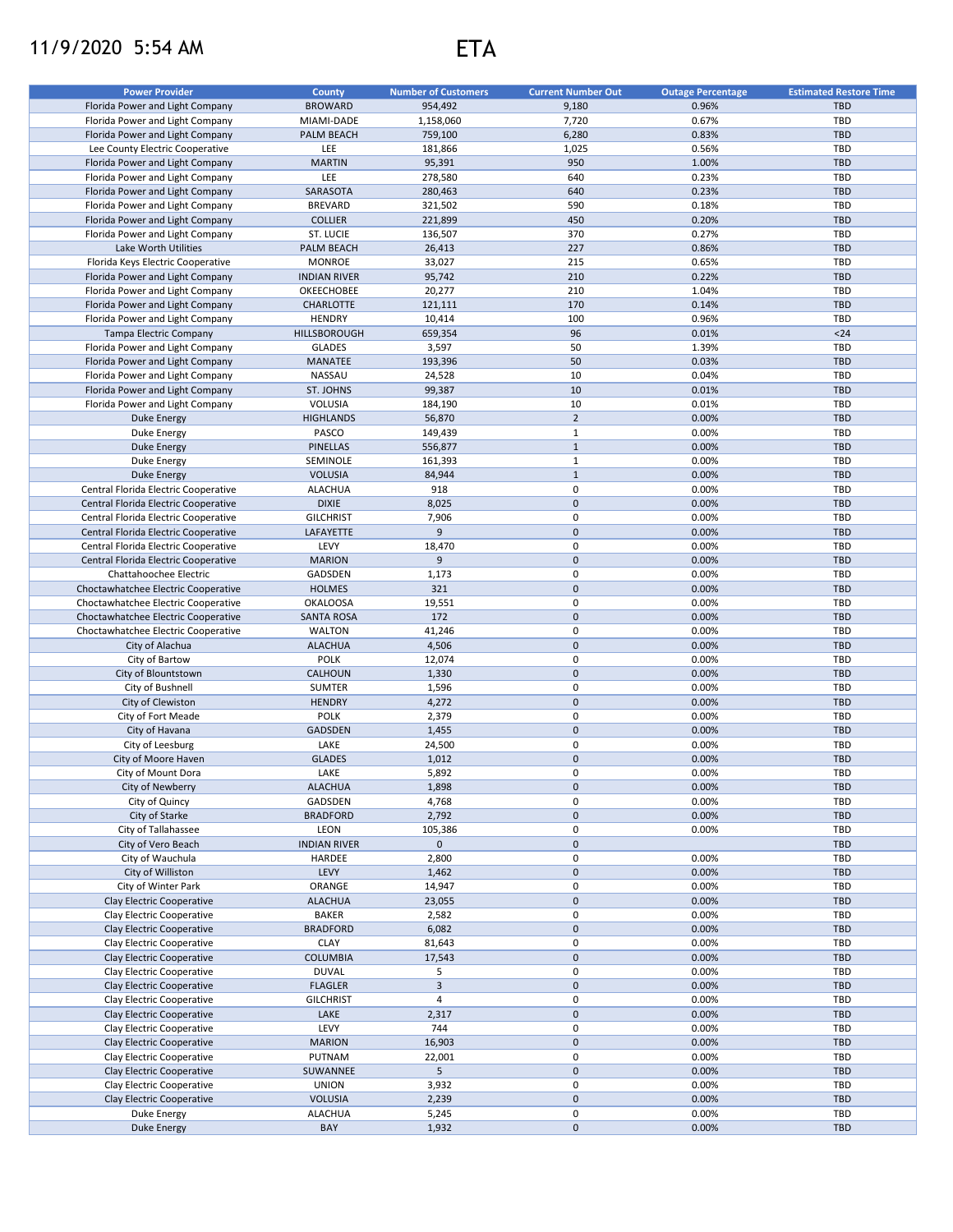## 11/9/2020 5:54 AM ETA

| <b>Power Provider</b>                | <b>County</b>       | <b>Number of Customers</b> | <b>Current Number Out</b> | <b>Outage Percentage</b> | <b>Estimated Restore Time</b> |
|--------------------------------------|---------------------|----------------------------|---------------------------|--------------------------|-------------------------------|
| Florida Power and Light Company      | <b>BROWARD</b>      | 954,492                    | 9,180                     | 0.96%                    | <b>TBD</b>                    |
| Florida Power and Light Company      | MIAMI-DADE          | 1,158,060                  | 7,720                     | 0.67%                    | TBD                           |
| Florida Power and Light Company      | PALM BEACH          | 759,100                    | 6,280                     | 0.83%                    | <b>TBD</b>                    |
| Lee County Electric Cooperative      | LEE                 | 181,866                    | 1,025                     | 0.56%                    | TBD                           |
| Florida Power and Light Company      | <b>MARTIN</b>       | 95,391                     | 950                       | 1.00%                    | <b>TBD</b>                    |
|                                      | LEE                 |                            | 640                       | 0.23%                    | TBD                           |
| Florida Power and Light Company      |                     | 278,580                    |                           |                          |                               |
| Florida Power and Light Company      | SARASOTA            | 280,463                    | 640                       | 0.23%                    | <b>TBD</b>                    |
| Florida Power and Light Company      | <b>BREVARD</b>      | 321,502                    | 590                       | 0.18%                    | TBD                           |
| Florida Power and Light Company      | <b>COLLIER</b>      | 221,899                    | 450                       | 0.20%                    | <b>TBD</b>                    |
| Florida Power and Light Company      | ST. LUCIE           | 136,507                    | 370                       | 0.27%                    | TBD                           |
| Lake Worth Utilities                 | PALM BEACH          | 26,413                     | 227                       | 0.86%                    | <b>TBD</b>                    |
| Florida Keys Electric Cooperative    | <b>MONROE</b>       | 33,027                     | 215                       | 0.65%                    | TBD                           |
| Florida Power and Light Company      | <b>INDIAN RIVER</b> | 95,742                     | 210                       | 0.22%                    | <b>TBD</b>                    |
| Florida Power and Light Company      | OKEECHOBEE          | 20,277                     | 210                       | 1.04%                    | TBD                           |
| Florida Power and Light Company      | CHARLOTTE           | 121,111                    | 170                       | 0.14%                    | <b>TBD</b>                    |
| Florida Power and Light Company      | <b>HENDRY</b>       | 10,414                     | 100                       | 0.96%                    | TBD                           |
| Tampa Electric Company               | <b>HILLSBOROUGH</b> | 659,354                    | 96                        | 0.01%                    | $24$                          |
| Florida Power and Light Company      | <b>GLADES</b>       | 3,597                      | 50                        | 1.39%                    | TBD                           |
| Florida Power and Light Company      | MANATEE             | 193,396                    | 50                        | 0.03%                    | <b>TBD</b>                    |
| Florida Power and Light Company      | NASSAU              | 24,528                     | 10                        | 0.04%                    | TBD                           |
| Florida Power and Light Company      | ST. JOHNS           | 99,387                     | 10                        | 0.01%                    | <b>TBD</b>                    |
| Florida Power and Light Company      | VOLUSIA             | 184,190                    | 10                        | 0.01%                    | TBD                           |
|                                      |                     |                            |                           |                          |                               |
| <b>Duke Energy</b>                   | <b>HIGHLANDS</b>    | 56,870                     | $\overline{2}$            | 0.00%                    | <b>TBD</b>                    |
| Duke Energy                          | PASCO               | 149,439                    | $\mathbf{1}$              | 0.00%                    | TBD                           |
| Duke Energy                          | <b>PINELLAS</b>     | 556,877                    | $\mathbf{1}$              | 0.00%                    | <b>TBD</b>                    |
| Duke Energy                          | SEMINOLE            | 161,393                    | $\mathbf{1}$              | 0.00%                    | TBD                           |
| <b>Duke Energy</b>                   | <b>VOLUSIA</b>      | 84,944                     | $1\,$                     | 0.00%                    | <b>TBD</b>                    |
| Central Florida Electric Cooperative | <b>ALACHUA</b>      | 918                        | $\pmb{0}$                 | 0.00%                    | TBD                           |
| Central Florida Electric Cooperative | <b>DIXIE</b>        | 8,025                      | $\pmb{0}$                 | 0.00%                    | <b>TBD</b>                    |
| Central Florida Electric Cooperative | <b>GILCHRIST</b>    | 7,906                      | $\mathbf 0$               | 0.00%                    | TBD                           |
| Central Florida Electric Cooperative | LAFAYETTE           | 9                          | $\pmb{0}$                 | 0.00%                    | <b>TBD</b>                    |
| Central Florida Electric Cooperative | LEVY                | 18,470                     | 0                         | 0.00%                    | TBD                           |
| Central Florida Electric Cooperative | <b>MARION</b>       | 9                          | $\mathbf 0$               | 0.00%                    | <b>TBD</b>                    |
|                                      |                     |                            | 0                         |                          | TBD                           |
| Chattahoochee Electric               | GADSDEN             | 1,173                      |                           | 0.00%                    |                               |
| Choctawhatchee Electric Cooperative  | <b>HOLMES</b>       | 321                        | $\mathsf{O}\xspace$       | 0.00%                    | <b>TBD</b>                    |
| Choctawhatchee Electric Cooperative  | <b>OKALOOSA</b>     | 19,551                     | 0                         | 0.00%                    | TBD                           |
| Choctawhatchee Electric Cooperative  | <b>SANTA ROSA</b>   | 172                        | $\mathbf 0$               | 0.00%                    | <b>TBD</b>                    |
| Choctawhatchee Electric Cooperative  | <b>WALTON</b>       | 41,246                     | 0                         | 0.00%                    | TBD                           |
| City of Alachua                      | <b>ALACHUA</b>      | 4,506                      | $\mathsf{O}\xspace$       | 0.00%                    | <b>TBD</b>                    |
| City of Bartow                       | <b>POLK</b>         | 12,074                     | 0                         | 0.00%                    | TBD                           |
| City of Blountstown                  | CALHOUN             | 1,330                      | $\mathsf{O}\xspace$       | 0.00%                    | <b>TBD</b>                    |
| City of Bushnell                     | <b>SUMTER</b>       | 1,596                      | 0                         | 0.00%                    | TBD                           |
| City of Clewiston                    | <b>HENDRY</b>       | 4,272                      | $\mathsf{O}\xspace$       | 0.00%                    | <b>TBD</b>                    |
| City of Fort Meade                   | <b>POLK</b>         | 2,379                      | $\mathsf 0$               | 0.00%                    | TBD                           |
| City of Havana                       | GADSDEN             | 1,455                      | $\mathbf 0$               | 0.00%                    | <b>TBD</b>                    |
| City of Leesburg                     | LAKE                | 24,500                     | $\pmb{0}$                 | 0.00%                    | TBD                           |
| City of Moore Haven                  | <b>GLADES</b>       | 1,012                      | $\pmb{0}$                 | 0.00%                    | <b>TBD</b>                    |
|                                      |                     |                            | $\mathbf 0$               |                          |                               |
| City of Mount Dora                   | LAKE                | 5,892                      |                           | 0.00%                    | TBD                           |
| City of Newberry                     | <b>ALACHUA</b>      | 1,898                      | 0                         | 0.00%                    | TBD                           |
| City of Quincy                       | GADSDEN             | 4,768                      | 0                         | 0.00%                    | TBD                           |
| City of Starke                       | <b>BRADFORD</b>     | 2,792                      | $\pmb{0}$                 | 0.00%                    | <b>TBD</b>                    |
| City of Tallahassee                  | LEON                | 105,386                    | 0                         | 0.00%                    | TBD                           |
| City of Vero Beach                   | <b>INDIAN RIVER</b> | $\mathsf{O}\xspace$        | $\pmb{0}$                 |                          | <b>TBD</b>                    |
| City of Wauchula                     | HARDEE              | 2,800                      | 0                         | 0.00%                    | TBD                           |
| City of Williston                    | LEVY                | 1,462                      | $\pmb{0}$                 | 0.00%                    | <b>TBD</b>                    |
| City of Winter Park                  | ORANGE              | 14,947                     | 0                         | 0.00%                    | TBD                           |
| Clay Electric Cooperative            | <b>ALACHUA</b>      | 23,055                     | $\pmb{0}$                 | 0.00%                    | <b>TBD</b>                    |
| Clay Electric Cooperative            | <b>BAKER</b>        | 2,582                      | 0                         | 0.00%                    | TBD                           |
| Clay Electric Cooperative            | <b>BRADFORD</b>     | 6,082                      | $\pmb{0}$                 | 0.00%                    | TBD                           |
| Clay Electric Cooperative            | CLAY                | 81,643                     | 0                         | 0.00%                    | TBD                           |
| Clay Electric Cooperative            | <b>COLUMBIA</b>     |                            | $\mathsf{O}\xspace$       | 0.00%                    | TBD                           |
|                                      |                     | 17,543                     |                           |                          |                               |
| Clay Electric Cooperative            | <b>DUVAL</b>        | 5                          | 0                         | 0.00%                    | TBD                           |
| Clay Electric Cooperative            | <b>FLAGLER</b>      | 3                          | $\pmb{0}$                 | 0.00%                    | TBD                           |
| Clay Electric Cooperative            | <b>GILCHRIST</b>    | $\overline{\mathbf{4}}$    | 0                         | 0.00%                    | TBD                           |
| Clay Electric Cooperative            | LAKE                | 2,317                      | $\pmb{0}$                 | 0.00%                    | TBD                           |
| Clay Electric Cooperative            | LEVY                | 744                        | 0                         | 0.00%                    | TBD                           |
| Clay Electric Cooperative            | <b>MARION</b>       | 16,903                     | $\pmb{0}$                 | 0.00%                    | TBD                           |
| Clay Electric Cooperative            | PUTNAM              | 22,001                     | $\pmb{0}$                 | 0.00%                    | TBD                           |
| Clay Electric Cooperative            | SUWANNEE            | 5                          | $\pmb{0}$                 | 0.00%                    | <b>TBD</b>                    |
| Clay Electric Cooperative            | <b>UNION</b>        | 3,932                      | $\pmb{0}$                 | 0.00%                    | TBD                           |
| Clay Electric Cooperative            | <b>VOLUSIA</b>      | 2,239                      | $\pmb{0}$                 | 0.00%                    | <b>TBD</b>                    |
| Duke Energy                          | <b>ALACHUA</b>      | 5,245                      | $\pmb{0}$                 | 0.00%                    | TBD                           |
|                                      |                     |                            | $\pmb{0}$                 |                          |                               |
| Duke Energy                          | BAY                 | 1,932                      |                           | 0.00%                    | <b>TBD</b>                    |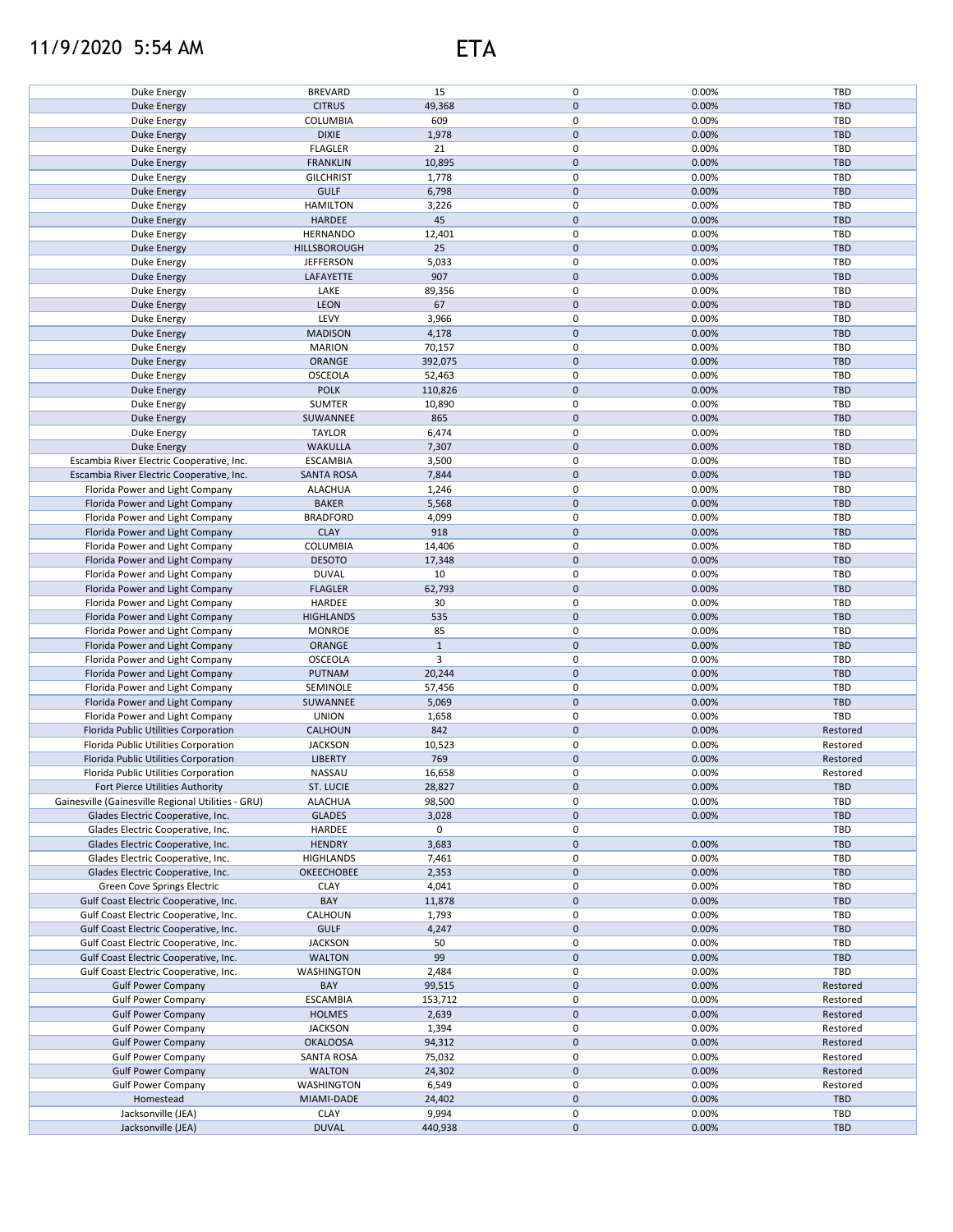## 11/9/2020 5:54 AM ETA

| Duke Energy                                        | <b>BREVARD</b>              | 15               | 0                        | 0.00%          | TBD               |
|----------------------------------------------------|-----------------------------|------------------|--------------------------|----------------|-------------------|
| <b>Duke Energy</b>                                 | <b>CITRUS</b>               | 49,368           | $\pmb{0}$                | 0.00%          | <b>TBD</b>        |
| Duke Energy                                        | COLUMBIA                    | 609              | 0                        | 0.00%          | TBD               |
| <b>Duke Energy</b>                                 | <b>DIXIE</b>                | 1,978            | $\pmb{0}$                | 0.00%          | <b>TBD</b>        |
| Duke Energy                                        | <b>FLAGLER</b>              | 21               | 0                        | 0.00%          | TBD               |
| <b>Duke Energy</b>                                 | <b>FRANKLIN</b>             | 10,895           | $\pmb{0}$                | 0.00%          | <b>TBD</b>        |
| Duke Energy                                        | <b>GILCHRIST</b>            | 1,778            | 0                        | 0.00%          | TBD               |
| <b>Duke Energy</b>                                 | <b>GULF</b>                 | 6,798            | $\pmb{0}$                | 0.00%          | <b>TBD</b>        |
|                                                    |                             |                  |                          |                |                   |
| Duke Energy                                        | <b>HAMILTON</b>             | 3,226            | 0                        | 0.00%          | TBD               |
| <b>Duke Energy</b>                                 | <b>HARDEE</b>               | 45               | $\pmb{0}$                | 0.00%          | <b>TBD</b>        |
| Duke Energy                                        | <b>HERNANDO</b>             | 12,401           | 0                        | 0.00%          | TBD               |
| <b>Duke Energy</b>                                 | HILLSBOROUGH                | 25               | $\pmb{0}$                | 0.00%          | <b>TBD</b>        |
| Duke Energy                                        | <b>JEFFERSON</b>            | 5,033            | 0                        | 0.00%          | <b>TBD</b>        |
| <b>Duke Energy</b>                                 | LAFAYETTE                   | 907              | $\pmb{0}$                | 0.00%          | <b>TBD</b>        |
| Duke Energy                                        | LAKE                        | 89,356           | 0                        | 0.00%          | <b>TBD</b>        |
|                                                    |                             |                  |                          |                |                   |
| <b>Duke Energy</b>                                 | LEON                        | 67               | $\pmb{0}$                | 0.00%          | <b>TBD</b>        |
| Duke Energy                                        | LEVY                        | 3,966            | 0                        | 0.00%          | <b>TBD</b>        |
| <b>Duke Energy</b>                                 | <b>MADISON</b>              | 4,178            | $\mathsf 0$              | 0.00%          | <b>TBD</b>        |
| Duke Energy                                        | <b>MARION</b>               | 70,157           | 0                        | 0.00%          | <b>TBD</b>        |
| <b>Duke Energy</b>                                 | ORANGE                      | 392,075          | $\pmb{0}$                | 0.00%          | <b>TBD</b>        |
| Duke Energy                                        | OSCEOLA                     | 52,463           | 0                        | 0.00%          | <b>TBD</b>        |
| Duke Energy                                        | <b>POLK</b>                 | 110,826          | $\pmb{0}$                | 0.00%          | <b>TBD</b>        |
|                                                    |                             |                  |                          |                |                   |
| Duke Energy                                        | <b>SUMTER</b>               | 10,890           | 0                        | 0.00%          | <b>TBD</b>        |
| Duke Energy                                        | SUWANNEE                    | 865              | $\mathbf 0$              | 0.00%          | <b>TBD</b>        |
| Duke Energy                                        | <b>TAYLOR</b>               | 6,474            | 0                        | 0.00%          | TBD               |
| <b>Duke Energy</b>                                 | <b>WAKULLA</b>              | 7,307            | $\pmb{0}$                | 0.00%          | <b>TBD</b>        |
| Escambia River Electric Cooperative, Inc.          | <b>ESCAMBIA</b>             | 3,500            | 0                        | 0.00%          | <b>TBD</b>        |
| Escambia River Electric Cooperative, Inc.          | <b>SANTA ROSA</b>           | 7,844            | $\mathsf 0$              | 0.00%          | <b>TBD</b>        |
| Florida Power and Light Company                    | <b>ALACHUA</b>              | 1,246            | 0                        | 0.00%          | TBD               |
|                                                    | <b>BAKER</b>                | 5,568            | $\mathsf 0$              | 0.00%          | <b>TBD</b>        |
| Florida Power and Light Company                    |                             |                  |                          |                |                   |
| Florida Power and Light Company                    | <b>BRADFORD</b>             | 4,099            | 0                        | 0.00%          | TBD               |
| Florida Power and Light Company                    | <b>CLAY</b>                 | 918              | $\pmb{0}$                | 0.00%          | <b>TBD</b>        |
| Florida Power and Light Company                    | COLUMBIA                    | 14,406           | 0                        | 0.00%          | TBD               |
| Florida Power and Light Company                    | <b>DESOTO</b>               | 17,348           | $\pmb{0}$                | 0.00%          | <b>TBD</b>        |
| Florida Power and Light Company                    | <b>DUVAL</b>                | 10               | 0                        | 0.00%          | TBD               |
| Florida Power and Light Company                    | <b>FLAGLER</b>              | 62,793           | $\pmb{0}$                | 0.00%          | <b>TBD</b>        |
| Florida Power and Light Company                    | HARDEE                      | 30               | $\pmb{0}$                | 0.00%          | TBD               |
|                                                    |                             |                  |                          |                |                   |
| Florida Power and Light Company                    | <b>HIGHLANDS</b>            | 535              | $\pmb{0}$                | 0.00%          | <b>TBD</b>        |
| Florida Power and Light Company                    | <b>MONROE</b>               | 85               | 0                        | 0.00%          | TBD               |
| Florida Power and Light Company                    | ORANGE                      | $\mathbf{1}$     | $\pmb{0}$                | 0.00%          | <b>TBD</b>        |
| Florida Power and Light Company                    | OSCEOLA                     | 3                | 0                        | 0.00%          | TBD               |
| Florida Power and Light Company                    | <b>PUTNAM</b>               | 20,244           | $\mathsf 0$              | 0.00%          | <b>TBD</b>        |
| Florida Power and Light Company                    | SEMINOLE                    | 57,456           | 0                        | 0.00%          | TBD               |
| Florida Power and Light Company                    | SUWANNEE                    | 5,069            | $\pmb{0}$                | 0.00%          | <b>TBD</b>        |
| Florida Power and Light Company                    | <b>UNION</b>                |                  | 0                        | 0.00%          | <b>TBD</b>        |
|                                                    |                             | 1,658            |                          |                |                   |
| Florida Public Utilities Corporation               | CALHOUN                     | 842              | $\pmb{0}$                | 0.00%          | Restored          |
| Florida Public Utilities Corporation               | <b>JACKSON</b>              | 10,523           | 0                        | 0.00%          | Restored          |
| Florida Public Utilities Corporation               | <b>LIBERTY</b>              | 769              | $\pmb{0}$                | 0.00%          | Restored          |
| Florida Public Utilities Corporation               | NASSAU                      | 16,658           | $\mathbf 0$              | 0.00%          | Restored          |
| Fort Pierce Utilities Authority                    | ST. LUCIE                   | 28,827           | $\pmb{0}$                | 0.00%          | <b>TBD</b>        |
| Gainesville (Gainesville Regional Utilities - GRU) | <b>ALACHUA</b>              | 98,500           | 0                        | 0.00%          | TBD               |
| Glades Electric Cooperative, Inc.                  | <b>GLADES</b>               | 3,028            | $\mathsf{O}\xspace$      | 0.00%          | <b>TBD</b>        |
|                                                    |                             |                  |                          |                |                   |
| Glades Electric Cooperative, Inc.                  | HARDEE                      | 0                | 0                        |                | TBD               |
| Glades Electric Cooperative, Inc.                  | <b>HENDRY</b>               | 3,683            | $\pmb{0}$                | 0.00%          | <b>TBD</b>        |
| Glades Electric Cooperative, Inc.                  | <b>HIGHLANDS</b>            | 7,461            | 0                        | 0.00%          | TBD               |
| Glades Electric Cooperative, Inc.                  | OKEECHOBEE                  | 2,353            | $\pmb{0}$                | 0.00%          | <b>TBD</b>        |
| Green Cove Springs Electric                        | <b>CLAY</b>                 | 4,041            | 0                        | 0.00%          | TBD               |
| Gulf Coast Electric Cooperative, Inc.              | BAY                         | 11,878           | $\pmb{0}$                | 0.00%          | <b>TBD</b>        |
| Gulf Coast Electric Cooperative, Inc.              | CALHOUN                     |                  | 0                        | 0.00%          | TBD               |
| Gulf Coast Electric Cooperative, Inc.              |                             |                  |                          |                |                   |
|                                                    |                             | 1,793            |                          |                |                   |
|                                                    | <b>GULF</b>                 | 4,247            | $\pmb{0}$                | 0.00%          | <b>TBD</b>        |
| Gulf Coast Electric Cooperative, Inc.              | <b>JACKSON</b>              | 50               | 0                        | 0.00%          | TBD               |
| Gulf Coast Electric Cooperative, Inc.              | <b>WALTON</b>               | 99               | $\pmb{0}$                | 0.00%          | <b>TBD</b>        |
| Gulf Coast Electric Cooperative, Inc.              | WASHINGTON                  | 2,484            | 0                        | 0.00%          | TBD               |
| <b>Gulf Power Company</b>                          | BAY                         | 99,515           | $\pmb{0}$                | 0.00%          | Restored          |
|                                                    |                             |                  | 0                        |                |                   |
| <b>Gulf Power Company</b>                          | <b>ESCAMBIA</b>             | 153,712          |                          | 0.00%          | Restored          |
| <b>Gulf Power Company</b>                          | <b>HOLMES</b>               | 2,639            | $\pmb{0}$                | 0.00%          | Restored          |
| <b>Gulf Power Company</b>                          | <b>JACKSON</b>              | 1,394            | 0                        | 0.00%          | Restored          |
| <b>Gulf Power Company</b>                          | <b>OKALOOSA</b>             | 94,312           | $\pmb{0}$                | 0.00%          | Restored          |
| <b>Gulf Power Company</b>                          | <b>SANTA ROSA</b>           | 75,032           | 0                        | 0.00%          | Restored          |
| <b>Gulf Power Company</b>                          | <b>WALTON</b>               | 24,302           | $\pmb{0}$                | 0.00%          | Restored          |
| <b>Gulf Power Company</b>                          | WASHINGTON                  | 6,549            | 0                        | 0.00%          | Restored          |
| Homestead                                          | MIAMI-DADE                  |                  | $\pmb{0}$                | 0.00%          | <b>TBD</b>        |
|                                                    |                             | 24,402           |                          |                |                   |
| Jacksonville (JEA)<br>Jacksonville (JEA)           | <b>CLAY</b><br><b>DUVAL</b> | 9,994<br>440,938 | 0<br>$\mathsf{O}\xspace$ | 0.00%<br>0.00% | TBD<br><b>TBD</b> |